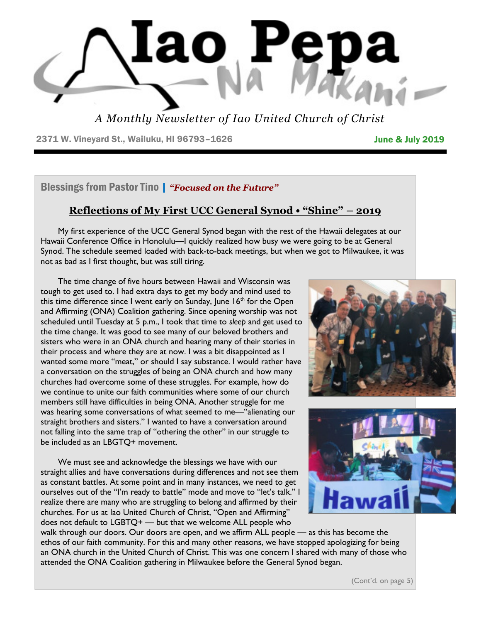

*A Monthly Newsletter of Iao United Church of Christ*

2371 W. Vineyard St., Wailuku, HI 96793-1626 **June & July 2019** 

Blessings from Pastor Tino | *"Focused on the Future"*

# **Reflections of My First UCC General Synod • "Shine" – 2019**

 My first experience of the UCC General Synod began with the rest of the Hawaii delegates at our Hawaii Conference Office in Honolulu—I quickly realized how busy we were going to be at General Synod. The schedule seemed loaded with back-to-back meetings, but when we got to Milwaukee, it was not as bad as I first thought, but was still tiring.

 The time change of five hours between Hawaii and Wisconsin was tough to get used to. I had extra days to get my body and mind used to this time difference since I went early on Sunday, June  $16<sup>th</sup>$  for the Open and Affirming (ONA) Coalition gathering. Since opening worship was not scheduled until Tuesday at 5 p.m., I took that time to *sleep* and get used to the time change. It was good to see many of our beloved brothers and sisters who were in an ONA church and hearing many of their stories in their process and where they are at now. I was a bit disappointed as I wanted some more "meat," or should I say substance. I would rather have a conversation on the struggles of being an ONA church and how many churches had overcome some of these struggles. For example, how do we continue to unite our faith communities where some of our church members still have difficulties in being ONA. Another struggle for me was hearing some conversations of what seemed to me—"alienating our straight brothers and sisters." I wanted to have a conversation around not falling into the same trap of "othering the other" in our struggle to be included as an LBGTQ+ movement.

 We must see and acknowledge the blessings we have with our straight allies and have conversations during differences and not see them as constant battles. At some point and in many instances, we need to get ourselves out of the "I'm ready to battle" mode and move to "let's talk." I realize there are many who are struggling to belong and affirmed by their churches. For us at Iao United Church of Christ, "Open and Affirming" does not default to LGBTQ+ — but that we welcome ALL people who





walk through our doors. Our doors are open, and we affirm ALL people — as this has become the ethos of our faith community. For this and many other reasons, we have stopped apologizing for being an ONA church in the United Church of Christ. This was one concern I shared with many of those who attended the ONA Coalition gathering in Milwaukee before the General Synod began.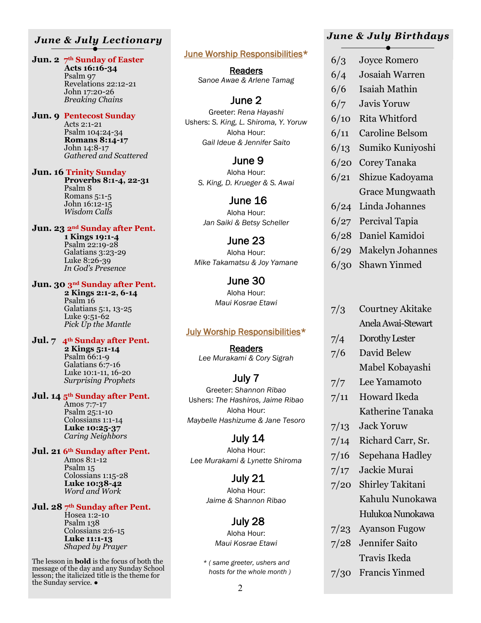# *June & July Lectionary*

#### **Jun. 2 7th Sunday of Easter**

 **Acts 16:16-34** Psalm 97 Revelations 22:12-21 John 17:20-26 *Breaking Chains*

**Jun. 9 Pentecost Sunday** Acts 2:1-21 Psalm 104:24-34

 **Romans 8:14-17** John 14:8-17 *Gathered and Scattered*

**Jun. 16 Trinity Sunday** 

 **Proverbs 8:1-4, 22-31** Psalm 8 Romans 5:1-5 John 16:12-15 *Wisdom Calls*

**Jun. 23 2nd Sunday after Pent.** 

 **1 Kings 19:1-4** Psalm 22:19-28 Galatians  $3:23-29$  Luke 8:26-39 *In God's Presence*

#### **Jun. 30 3nd Sunday after Pent.**

 **2 Kings 2:1-2, 6-14** Psalm<sub>16</sub> Galatians 5:1, 13-25 Luke 9:51-62 *Pick Up the Mantle*

#### **Jul. 7 4th Sunday after Pent.**

 **2 Kings 5:1-14** Psalm 66:1-9 Galatians 6:7-16 Luke 10:1-11, 16-20 *Surprising Prophets*

#### **Jul. 14 5th Sunday after Pent.**

 Amos 7:7-17 Psalm 25:1-10 Colossians 1:1-14  **Luke 10:25-37** *Caring Neighbors*

#### **Jul. 21 6th Sunday after Pent.**

 Amos 8:1-12 Psalm 15 Colossians 1:15-28  **Luke 10:38-42** *Word and Work*

#### **Jul. 28 7th Sunday after Pent.**

Hosea 1:2-10 Psalm 138 Colossians 2:6-15  **Luke 11:1-13** *Shaped by Prayer*

The lesson in **bold** is the focus of both the message of the day and any Sunday School lesson; the italicized title is the theme for the Sunday service. ●

#### June Worship Responsibilities\*

Readers *Sanoe Awae & Arlene Tamag* 

# June 2

Greeter: *Rena Hayashi* Ushers: *S. King, L. Shiroma, Y. Yoruw* Aloha Hour: *Gail Ideue & Jennifer Saito* 

## June 9

Aloha Hour: *S. King, D. Krueger & S. Awai* 

# June 16

Aloha Hour: *Jan Saiki & Betsy Scheller* 

#### June 23

Aloha Hour: *Mike Takamatsu & Joy Yamane* 

#### June 30 Aloha Hour: *Maui Kosrae Etawi*

#### July Worship Responsibilities\*

Readers *Lee Murakami & Cory Sigrah* 

# July 7

Greeter: *Shannon Ribao* Ushers: *The Hashiros, Jaime Ribao* Aloha Hour: *Maybelle Hashizume & Jane Tesoro* 

 July 14 Aloha Hour: *Lee Murakami & Lynette Shiroma* 

> July 21 Aloha Hour: *Jaime & Shannon Ribao*

# July 28

Aloha Hour: *Maui Kosrae Etawi* 

*\* ( same greeter, ushers and hosts for the whole month )* 

# *June & July Birthdays*

- 6/3 Joyce Romero
- 6/4 Josaiah Warren
- 6/6 Isaiah Mathin
- 6/7 Javis Yoruw
- 6/10 Rita Whitford
- 6/11 Caroline Belsom
- 6/13 Sumiko Kuniyoshi
- 6/20 Corey Tanaka
- 6/21 Shizue Kadoyama Grace Mungwaath
- 6/24 Linda Johannes
- 6/27 Percival Tapia
- 6/28 Daniel Kamidoi
- 6/29 Makelyn Johannes
- 6/30 Shawn Yinmed
- 7/3 Courtney Akitake Anela Awai-Stewart
- 7/4 Dorothy Lester 7/6 David Belew
- Mabel Kobayashi
- 7/7 Lee Yamamoto
- 7/11 Howard Ikeda Katherine Tanaka
- 7/13 Jack Yoruw
- 7/14 Richard Carr, Sr.
- 7/16 Sepehana Hadley
- 7/17 Jackie Murai
- 7/20 Shirley Takitani Kahulu Nunokawa Hulukoa Nunokawa
- 7/23 Ayanson Fugow
- 7/28 Jennifer Saito Travis Ikeda
- 7/30 Francis Yinmed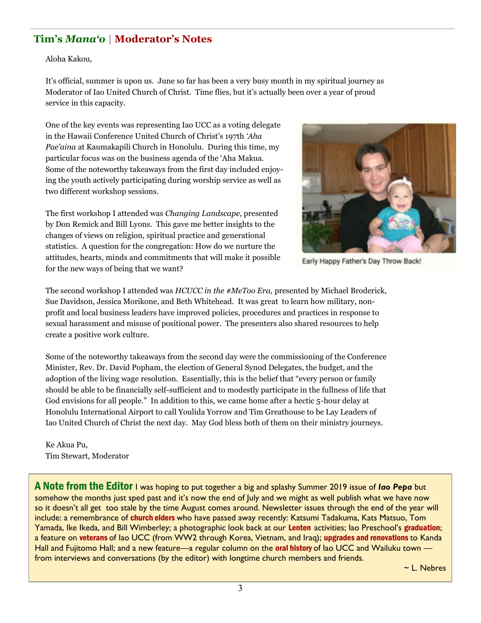# **Tim's** *Mana'o* **| Moderator's Notes**

Aloha Kakou,

It's official, summer is upon us. June so far has been a very busy month in my spiritual journey as Moderator of Iao United Church of Christ. Time flies, but it's actually been over a year of proud service in this capacity.

One of the key events was representing Iao UCC as a voting delegate in the Hawaii Conference United Church of Christ's 197th *'Aha Pae'aina* at Kaumakapili Church in Honolulu. During this time, my particular focus was on the business agenda of the 'Aha Makua. Some of the noteworthy takeaways from the first day included enjoying the youth actively participating during worship service as well as two different workshop sessions.

The first workshop I attended was *Changing Landscape*, presented by Don Remick and Bill Lyons. This gave me better insights to the changes of views on religion, spiritual practice and generational statistics. A question for the congregation: How do we nurture the attitudes, hearts, minds and commitments that will make it possible for the new ways of being that we want?



Early Happy Father's Day Throw Back!

The second workshop I attended was *HCUCC in the #MeToo Era,* presented by Michael Broderick, Sue Davidson, Jessica Morikone, and Beth Whitehead. It was great to learn how military, nonprofit and local business leaders have improved policies, procedures and practices in response to sexual harassment and misuse of positional power. The presenters also shared resources to help create a positive work culture.

Some of the noteworthy takeaways from the second day were the commissioning of the Conference Minister, Rev. Dr. David Popham, the election of General Synod Delegates, the budget, and the adoption of the living wage resolution. Essentially, this is the belief that "every person or family should be able to be financially self-sufficient and to modestly participate in the fullness of life that God envisions for all people." In addition to this, we came home after a hectic 5-hour delay at Honolulu International Airport to call Youlida Yorrow and Tim Greathouse to be Lay Leaders of Iao United Church of Christ the next day. May God bless both of them on their ministry journeys.

Ke Akua Pu, Tim Stewart, Moderator

A Note from the Editor I was hoping to put together a big and splashy Summer 2019 issue of *Iao Pepa* but somehow the months just sped past and it's now the end of July and we might as well publish what we have now so it doesn't all get too stale by the time August comes around. Newsletter issues through the end of the year will include: a remembrance of church elders who have passed away recently: Katsumi Tadakuma, Kats Matsuo, Tom Yamada, Ike Ikeda, and Bill Wimberley; a photographic look back at our Lenten activities; Iao Preschool's graduation; a feature on veterans of Iao UCC (from WW2 through Korea, Vietnam, and Iraq); upgrades and renovations to Kanda Hall and Fujitomo Hall; and a new feature—a regular column on the **oral history** of lao UCC and Wailuku town from interviews and conversations (by the editor) with longtime church members and friends.

~ L. Nebres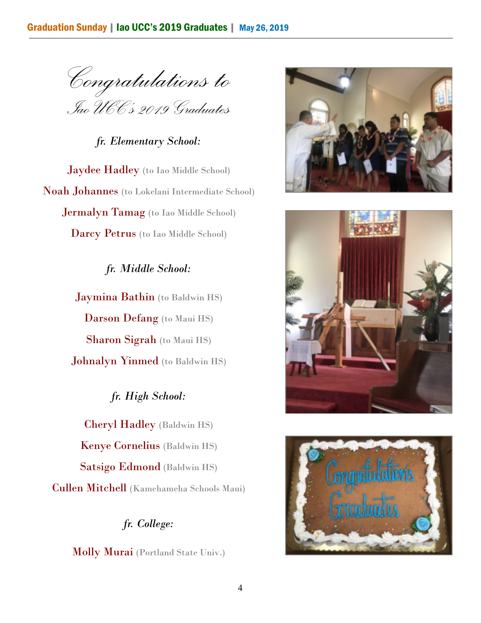*Congratulations to Iao UCC's 2019 Graduates*

*fr. Elementary School:* 

Jaydee Hadley (to Iao Middle School) Noah Johannes (to Lokelani Intermediate School) Jermalyn Tamag (to Iao Middle School) Darcy Petrus (to Iao Middle School)

> **Jaymina Bathin** (to Baldwin HS) Darson Defang (to Maui HS) Sharon Sigrah (to Maui HS) Johnalyn Yinmed (to Baldwin HS)

*fr. Middle School:* 

Cheryl Hadley (Baldwin HS) Kenye Cornelius (Baldwin HS) Satsigo Edmond (Baldwin HS) Cullen Mitchell (Kamehameha Schools Maui)

*fr. High School:* 

# *fr. College:*

Molly Murai (Portland State Univ.)





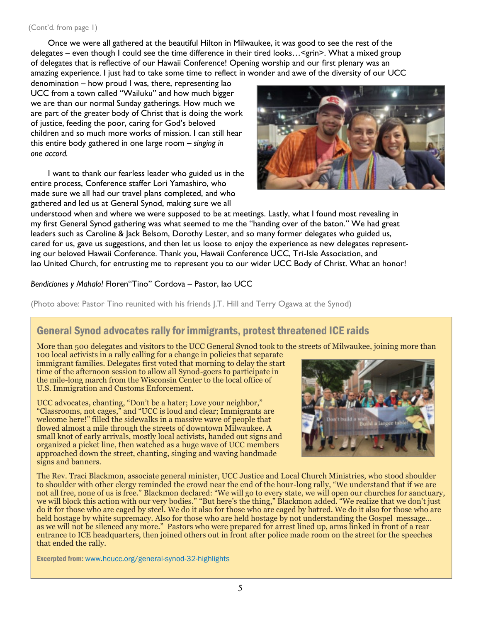Once we were all gathered at the beautiful Hilton in Milwaukee, it was good to see the rest of the delegates – even though I could see the time difference in their tired looks…<grin>. What a mixed group of delegates that is reflective of our Hawaii Conference! Opening worship and our first plenary was an amazing experience. I just had to take some time to reflect in wonder and awe of the diversity of our UCC

denomination – how proud I was, there, representing Iao UCC from a town called "Wailuku" and how much bigger we are than our normal Sunday gatherings. How much we are part of the greater body of Christ that is doing the work of justice, feeding the poor, caring for God's beloved children and so much more works of mission. I can still hear this entire body gathered in one large room – *singing in one accord.* 

 I want to thank our fearless leader who guided us in the entire process, Conference staffer Lori Yamashiro, who made sure we all had our travel plans completed, and who gathered and led us at General Synod, making sure we all



understood when and where we were supposed to be at meetings. Lastly, what I found most revealing in my first General Synod gathering was what seemed to me the "handing over of the baton." We had great leaders such as Caroline & Jack Belsom, Dorothy Lester, and so many former delegates who guided us, cared for us, gave us suggestions, and then let us loose to enjoy the experience as new delegates representing our beloved Hawaii Conference. Thank you, Hawaii Conference UCC, Tri-Isle Association, and Iao United Church, for entrusting me to represent you to our wider UCC Body of Christ. What an honor!

#### *Bendiciones y Mahalo!* Floren"Tino" Cordova – Pastor, Iao UCC

(Photo above: Pastor Tino reunited with his friends J.T. Hill and Terry Ogawa at the Synod)

# General Synod advocates rally for immigrants, protest threatened ICE raids

More than 500 delegates and visitors to the UCC General Synod took to the streets of Milwaukee, joining more than

100 local activists in a rally calling for a change in policies that separate immigrant families. Delegates first voted that morning to delay the start time of the afternoon session to allow all Synod-goers to participate in the mile-long march from the Wisconsin Center to the local office of U.S. Immigration and Customs Enforcement.

UCC advocates, chanting, "Don't be a hater; Love your neighbor," "Classrooms, not cages," and "UCC is loud and clear; Immigrants are welcome here!" filled the sidewalks in a massive wave of people that flowed almost a mile through the streets of downtown Milwaukee. A small knot of early arrivals, mostly local activists, handed out signs and organized a picket line, then watched as a huge wave of UCC members approached down the street, chanting, singing and waving handmade signs and banners.



The Rev. Traci Blackmon, associate general minister, UCC Justice and Local Church Ministries, who stood shoulder to shoulder with other clergy reminded the crowd near the end of the hour-long rally, "We understand that if we are not all free, none of us is free." Blackmon declared: "We will go to every state, we will open our churches for sanctuary, we will block this action with our very bodies." "But here's the thing," Blackmon added. "We realize that we don't just do it for those who are caged by steel. We do it also for those who are caged by hatred. We do it also for those who are held hostage by white supremacy. Also for those who are held hostage by not understanding the Gospel message… as we will not be silenced any more." Pastors who were prepared for arrest lined up, arms linked in front of a rear entrance to ICE headquarters, then joined others out in front after police made room on the street for the speeches that ended the rally.

Excerpted from: www.hcucc.org/general-synod-32-highlights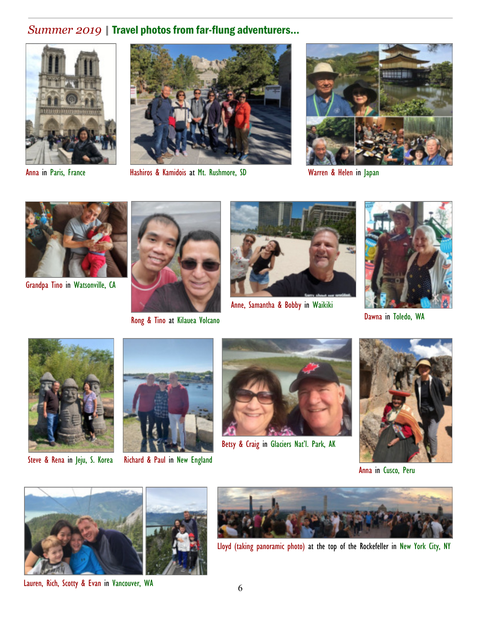# *Summer 2019* | Travel photos from far-flung adventurers...





Anna in Paris, France **Hashiros & Kamidois at Mt. Rushmore, SD** Warren & Helen in Japan





Grandpa Tino in Watsonville, CA



Rong & Tino at Kilauea Volcano



Anne, Samantha & Bobby in Waikiki



Dawna in Toledo, WA





Steve & Rena in Jeju, S. Korea Richard & Paul in New England



Betsy & Craig in Glaciers Nat'l. Park, AK



Anna in Cusco, Peru



Lauren, Rich, Scotty & Evan in Vancouver, WA



Lloyd (taking panoramic photo) at the top of the Rockefeller in New York City, NY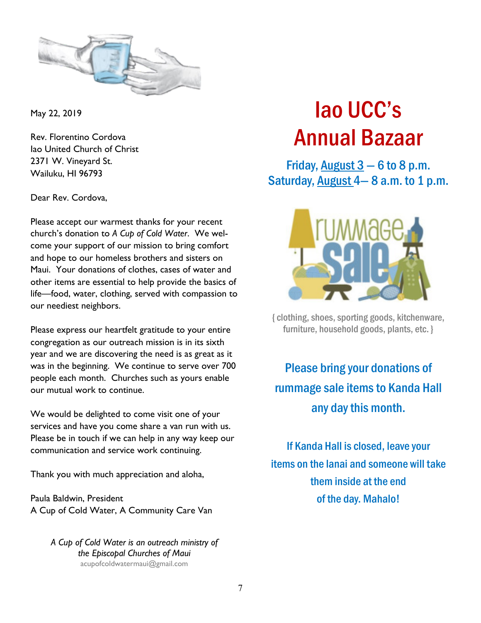

May 22, 2019

Rev. Florentino Cordova Iao United Church of Christ 2371 W. Vineyard St. Wailuku, HI 96793

Dear Rev. Cordova,

Please accept our warmest thanks for your recent church's donation to *A Cup of Cold Water*. We welcome your support of our mission to bring comfort and hope to our homeless brothers and sisters on Maui. Your donations of clothes, cases of water and other items are essential to help provide the basics of life—food, water, clothing, served with compassion to our neediest neighbors.

Please express our heartfelt gratitude to your entire congregation as our outreach mission is in its sixth year and we are discovering the need is as great as it was in the beginning. We continue to serve over 700 people each month. Churches such as yours enable our mutual work to continue.

We would be delighted to come visit one of your services and have you come share a van run with us. Please be in touch if we can help in any way keep our communication and service work continuing.

Thank you with much appreciation and aloha,

Paula Baldwin, President A Cup of Cold Water, A Community Care Van

> *A Cup of Cold Water is an outreach ministry of the Episcopal Churches of Maui*  acupofcoldwatermaui@gmail.com

# Iao UCC's Annual Bazaar

Friday, August  $3 - 6$  to 8 p.m. Saturday, August  $4-8$  a.m. to 1 p.m.



{ clothing, shoes, sporting goods, kitchenware, furniture, household goods, plants, etc. }

Please bring your donations of rummage sale items to Kanda Hall any day this month.

If Kanda Hall is closed, leave your items on the lanai and someone will take them inside at the end of the day. Mahalo!